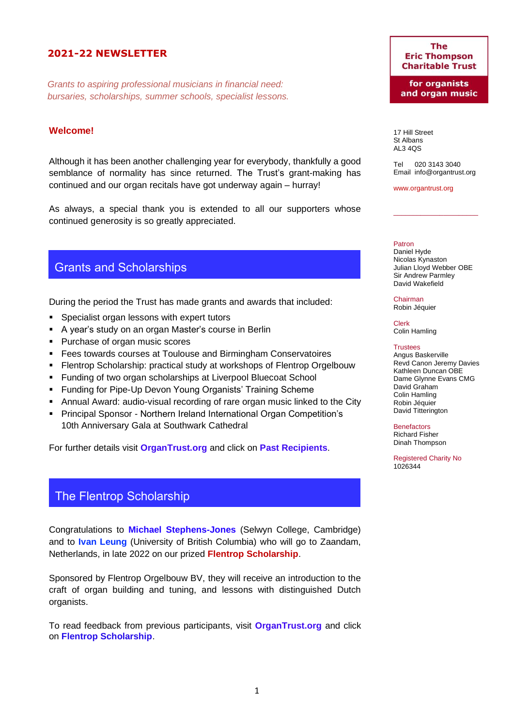## **2021-22 NEWSLETTER**

*Grants to aspiring professional musicians in financial need: bursaries, scholarships, summer schools, specialist lessons.*

### **Welcome!**

Although it has been another challenging year for everybody, thankfully a good semblance of normality has since returned. The Trust's grant-making has continued and our organ recitals have got underway again – hurray!

As always, a special thank you is extended to all our supporters whose continued generosity is so greatly appreciated.

## Grants and Scholarships

During the period the Trust has made grants and awards that included:

- Specialist organ lessons with expert tutors
- A year's study on an organ Master's course in Berlin
- Purchase of organ music scores
- Fees towards courses at Toulouse and Birmingham Conservatoires
- **Flentrop Scholarship: practical study at workshops of Flentrop Orgelbouw**
- Funding of two organ scholarships at Liverpool Bluecoat School
- Funding for Pipe-Up Devon Young Organists' Training Scheme
- Annual Award: audio-visual recording of rare organ music linked to the City
- Principal Sponsor Northern Ireland International Organ Competition's 10th Anniversary Gala at Southwark Cathedral

For further details visit **[OrganTrust.org](http://www.organtrust.org/)** and click on **[Past Recipients](https://royalphilharmonicsociety.org.uk/performers/instrumentalists/thompson/past-ett-1)**.

## The Flentrop Scholarship

Congratulations to **[Michael Stephens-Jones](https://organistsonline.org/bloomsbury/ms-j.html)** (Selwyn College, Cambridge) and to **[Ivan Leung](https://www.facebook.com/1ivancy)** (University of British Columbia) who will go to Zaandam, Netherlands, in late 2022 on our prized **Flentrop Scholarship**.

Sponsored by Flentrop Orgelbouw BV, they will receive an introduction to the craft of organ building and tuning, and lessons with distinguished Dutch organists.

To read feedback from previous participants, visit **[OrganTrust.org](http://www.organtrust.org/)** and click on **[Flentrop Scholarship](https://royalphilharmonicsociety.org.uk/assets/files/Reports_2019_PottSlater.pdf)**.

#### **The Eric Thompson Charitable Trust**

for organists and organ music

17 Hill Street St Albans AL3 4QS

Tel 020 3143 3040 Email [info@organtrust.org](mailto:info@organtrust.org)

 $\_$ 

[www.organtrust.org](http://www.organtrust.org/)

#### Patron

Daniel Hyde Nicolas Kynaston Julian Lloyd Webber OBE Sir Andrew Parmley David Wakefield

Chairman Robin Jéquier

Clerk Colin Hamling

#### **Trustees**

Angus Baskerville Revd Canon Jeremy Davies Kathleen Duncan OBE Dame Glynne Evans CMG David Graham Colin Hamling Robin Jéquier David Titterington

**Benefactors** Richard Fisher

Dinah Thompson

Registered Charity No 1026344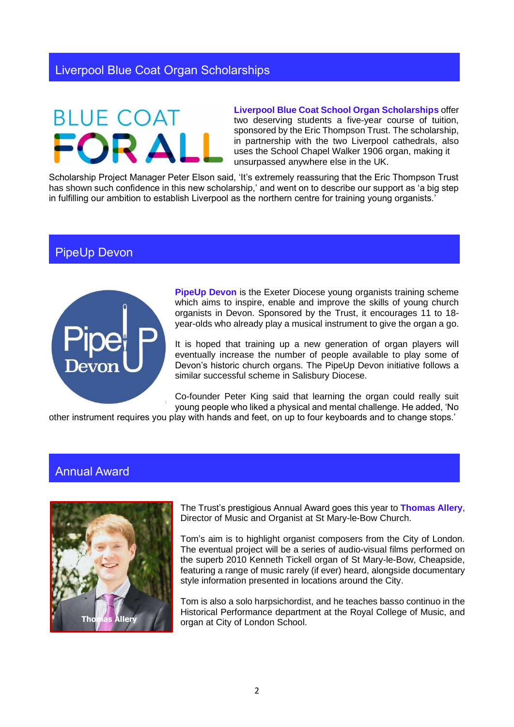# **BLUE COAT**

**[Liverpool Blue Coat School Organ Scholarships](https://www.bluecoatschoolliverpool.org.uk/?s=organ+scholars)** offer two deserving students a five-vear course of tuition. sponsored by the Eric Thompson Trust. The scholarship, in partnership with the two Liverpool cathedrals, also uses the School Chapel Walker 1906 organ, making it unsurpassed anywhere else in the UK.

Scholarship Project Manager Peter Elson said, 'It's extremely reassuring that the Eric Thompson Trust has shown such confidence in this new scholarship,' and went on to describe our support as 'a big step in fulfilling our ambition to establish Liverpool as the northern centre for training young organists.'

# PipeUp Devon



**[PipeUp Devon](https://exeter.anglican.org/resources/worship/pipeup-devon/)** is the Exeter Diocese young organists training scheme which aims to inspire, enable and improve the skills of young church organists in Devon. Sponsored by the Trust, it encourages 11 to 18 year-olds who already play a musical instrument to give the organ a go.

It is hoped that training up a new generation of organ players will eventually increase the number of people available to play some of Devon's historic church organs. The PipeUp Devon initiative follows a similar successful scheme in Salisbury Diocese.

Co-founder Peter King said that learning the organ could really suit young people who liked a physical and mental challenge. He added, 'No

other instrument requires you play with hands and feet, on up to four keyboards and to change stops.'

# Annual Award



The Trust's prestigious Annual Award goes this year to **[Thomas Allery](http://www.thomasallery.com/)**, Director of Music and Organist at St Mary-le-Bow Church.

Tom's aim is to highlight organist composers from the City of London. The eventual project will be a series of audio-visual films performed on the superb 2010 Kenneth Tickell organ of St Mary-le-Bow, Cheapside, featuring a range of music rarely (if ever) heard, alongside documentary style information presented in locations around the City.

Tom is also a solo harpsichordist, and he teaches basso continuo in the Historical Performance department at the Royal College of Music, and organ at City of London School.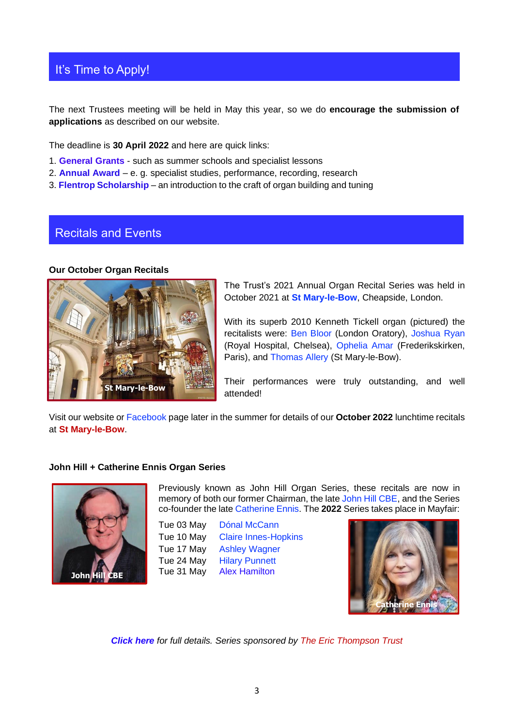# It's Time to Apply!

The next Trustees meeting will be held in May this year, so we do **encourage the submission of applications** as described on our website.

The deadline is **30 April 2022** and here are quick links:

- 1. **[General Grants](https://royalphilharmonicsociety.org.uk/performers/instrumentalists/thompson/eric-thompson-trust-grants)** such as summer schools and specialist lessons
- 2. **[Annual Award](https://royalphilharmonicsociety.org.uk/performers/instrumentalists/thompson/annual-award1)** e. g. specialist studies, performance, recording, research
- 3. **[Flentrop Scholarship](https://royalphilharmonicsociety.org.uk/performers/instrumentalists/thompson/flentrop)** an introduction to the craft of organ building and tuning

## Recitals and Events

#### **Our October Organ Recitals**



The Trust's 2021 Annual Organ Recital Series was held in October 2021 at **[St Mary-le-Bow](https://www.stmarylebow.org.uk/music/)**, Cheapside, London.

With its superb 2010 Kenneth Tickell organ (pictured) the recitalists were: [Ben Bloor](http://www.benbloor.com/) (London Oratory), [Joshua Ryan](http://www.facebook.com/josh.ryan31) (Royal Hospital, Chelsea), [Ophelia Amar](http://www.opheliaamar.com/) (Frederikskirken, Paris), and [Thomas Allery](http://www.thomasallery.com/) (St Mary-le-Bow).

Their performances were truly outstanding, and well attended!

Visit our website or [Facebook](http://www.facebook.com/organtrust) page later in the summer for details of our **October 2022** lunchtime recitals at **St Mary-le-Bow**.

#### **John Hill + Catherine Ennis Organ Series**



Previously known as John Hill Organ Series, these recitals are now in memory of both our former Chairman, the late [John Hill CBE,](https://www.facebook.com/johnhillorganseries/) and the Series co-founder the lat[e Catherine Ennis.](https://www.rhinegold.co.uk/choir_organ/catherine-ennis-organ-scholarships-to-be-established-at-st-hughs-college-oxford/) The **2022** Series takes place in Mayfair:

Tue 03 May [Dónal McCann](https://www.new.ox.ac.uk/donal-mccann) Tue 10 May [Claire Innes-Hopkins](https://stsalvatorschapelchoir.wp.st-andrews.ac.uk/people/) Tue 17 May [Ashley Wagner](http://ashleywagner.co/about/) Tue 24 May [Hilary Punnett](https://www.chelmsfordcathedral.org.uk/team/detail/hilary-punnett) Tue 31 May [Alex Hamilton](https://www.wellscathedral.org.uk/worship-and-music/music/organists/alexander-hamilton/)



*[Click here](https://royalphilharmonicsociety.org.uk/assets/files/PROGRAMME_2022.pdf) for full details. Series sponsored by The Eric Thompson Trust*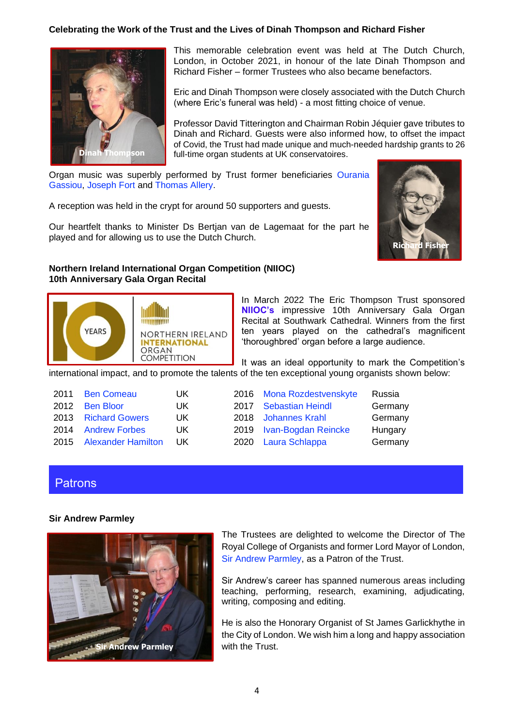#### **Celebrating the Work of the Trust and the Lives of Dinah Thompson and Richard Fisher**



This memorable celebration event was held at The Dutch Church, London, in October 2021, in honour of the late Dinah Thompson and Richard Fisher – former Trustees who also became benefactors.

Eric and Dinah Thompson were closely associated with the Dutch Church (where Eric's funeral was held) - a most fitting choice of venue.

Professor David Titterington and Chairman Robin Jéquier gave tributes to Dinah and Richard. Guests were also informed how, to offset the impact of Covid, the Trust had made unique and much-needed hardship grants to 26 full-time organ students at UK conservatoires.

Organ music was superbly performed by Trust former beneficiaries [Ourania](https://www.facebook.com/ourania.gassiou)  [Gassiou,](https://www.facebook.com/ourania.gassiou) [Joseph Fort](https://www.josephfort.co.uk/) and [Thomas Allery.](https://www.thomasallery.com/)

A reception was held in the crypt for around 50 supporters and guests.

Our heartfelt thanks to Minister Ds Bertjan van de Lagemaat for the part he played and for allowing us to use the Dutch Church.



### **Northern Ireland International Organ Competition (NIIOC) 10th Anniversary Gala Organ Recital**



In March 2022 The Eric Thompson Trust sponsored **[NIIOC's](https://www.niioc.com/10th-birthday)** impressive 10th Anniversary Gala Organ Recital at Southwark Cathedral. Winners from the first ten years played on the cathedral's magnificent 'thoroughbred' organ before a large audience.

It was an ideal opportunity to mark the Competition's international impact, and to promote the talents of the ten exceptional young organists shown below:

| 2011 Ben Comeau         | UK |
|-------------------------|----|
| 2012 Ben Bloor          | UK |
| 2013 Richard Gowers     | UK |
| 2014 Andrew Forbes      | UK |
| 2015 Alexander Hamilton | UK |

| 2016 | Mona Rozdestvenskyte    | Russia  |
|------|-------------------------|---------|
| 2017 | <b>Sebastian Heindl</b> | Germany |
| 2018 | <b>Johannes Krahl</b>   | Germany |
| 2019 | Ivan-Bogdan Reincke     | Hungary |
| 2020 | Laura Schlappa          | Germany |

## **Patrons**

#### **Sir Andrew Parmley**



The Trustees are delighted to welcome the Director of The Royal College of Organists and former Lord Mayor of London, [Sir Andrew Parmley,](https://www.rco.org.uk/news_displaystory.php?newsid=291) as a Patron of the Trust.

Sir Andrew's career has spanned numerous areas including teaching, performing, research, examining, adjudicating, writing, composing and editing.

He is also the Honorary Organist of St James Garlickhythe in the City of London. We wish him a long and happy association with the Trust.